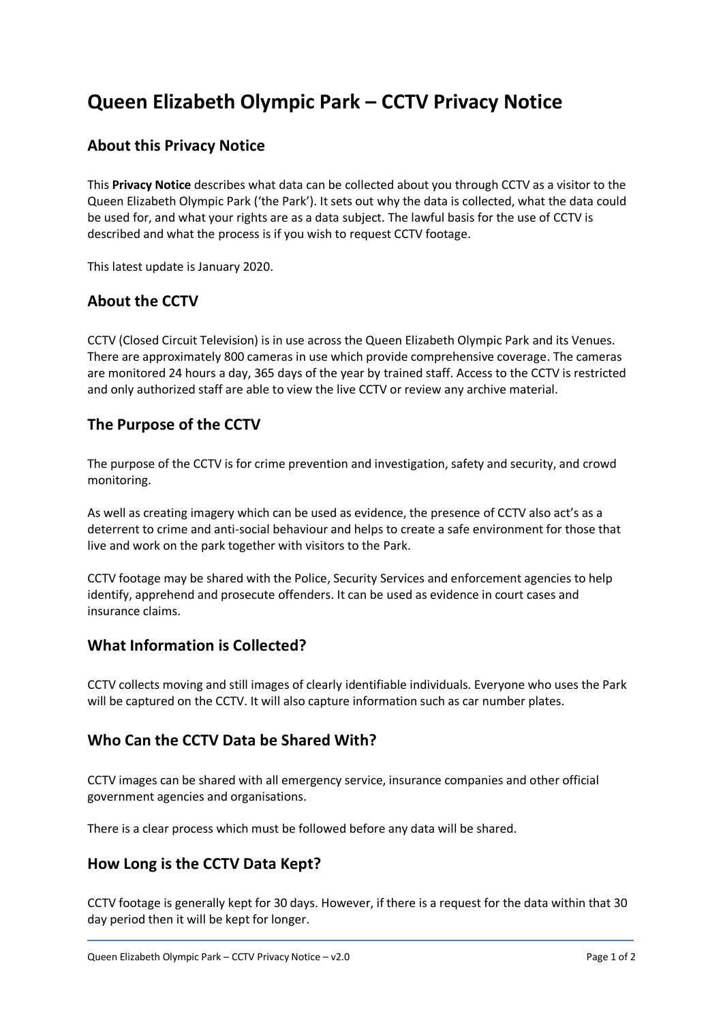# **Queen Elizabeth Olympic Park – CCTV Privacy Notice**

## **About this Privacy Notice**

This **Privacy Notice** describes what data can be collected about you through CCTV as a visitor to the Queen Elizabeth Olympic Park ('the Park'). It sets out why the data is collected, what the data could be used for, and what your rights are as a data subject. The lawful basis for the use of CCTV is described and what the process is if you wish to request CCTV footage.

This latest update is January 2020.

#### **About the CCTV**

CCTV (Closed Circuit Television) is in use across the Queen Elizabeth Olympic Park and its Venues. There are approximately 800 cameras in use which provide comprehensive coverage. The cameras are monitored 24 hours a day, 365 days of the year by trained staff. Access to the CCTV is restricted and only authorized staff are able to view the live CCTV or review any archive material.

# **The Purpose of the CCTV**

The purpose of the CCTV is for crime prevention and investigation, safety and security, and crowd monitoring.

As well as creating imagery which can be used as evidence, the presence of CCTV also act's as a deterrent to crime and anti-social behaviour and helps to create a safe environment for those that live and work on the park together with visitors to the Park.

CCTV footage may be shared with the Police, Security Services and enforcement agencies to help identify, apprehend and prosecute offenders. It can be used as evidence in court cases and insurance claims.

#### **What Information is Collected?**

CCTV collects moving and still images of clearly identifiable individuals. Everyone who uses the Park will be captured on the CCTV. It will also capture information such as car number plates.

#### **Who Can the CCTV Data be Shared With?**

CCTV images can be shared with all emergency service, insurance companies and other official government agencies and organisations.

There is a clear process which must be followed before any data will be shared.

#### **How Long is the CCTV Data Kept?**

CCTV footage is generally kept for 30 days. However, if there is a request for the data within that 30 day period then it will be kept for longer.